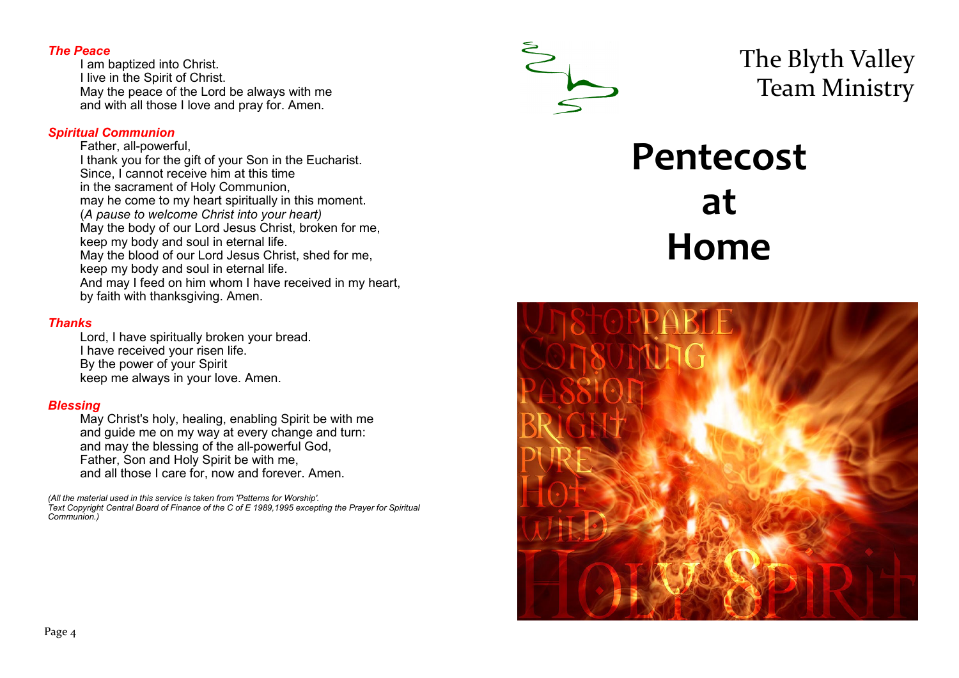## *The Peace*

I am baptized into Christ. I live in the Spirit of Christ. May the peace of the Lord be always with me and with all those I love and pray for. Amen.

## *Spiritual Communion*

Father, all-powerful, I thank you for the gift of your Son in the Eucharist. Since, I cannot receive him at this time in the sacrament of Holy Communion, may he come to my heart spiritually in this moment. (*A pause to welcome Christ into your heart)* May the body of our Lord Jesus Christ, broken for me, keep my body and soul in eternal life. May the blood of our Lord Jesus Christ, shed for me, keep my body and soul in eternal life. And may I feed on him whom I have received in my heart, by faith with thanksgiving. Amen.

# *Thanks*

Lord, I have spiritually broken your bread. I have received your risen life. By the power of your Spirit keep me always in your love. Amen.

# *Blessing*

May Christ's holy, healing, enabling Spirit be with me and guide me on my way at every change and turn: and may the blessing of the all-powerful God, Father, Son and Holy Spirit be with me, and all those I care for, now and forever. Amen.

*(All the material used in this service is taken from 'Patterns for Worship'. Text Copyright Central Board of Finance of the C of E 1989,1995 excepting the Prayer for Spiritual Communion.)*



The Blyth Valley Team Ministry

# **Pentecost at Home**